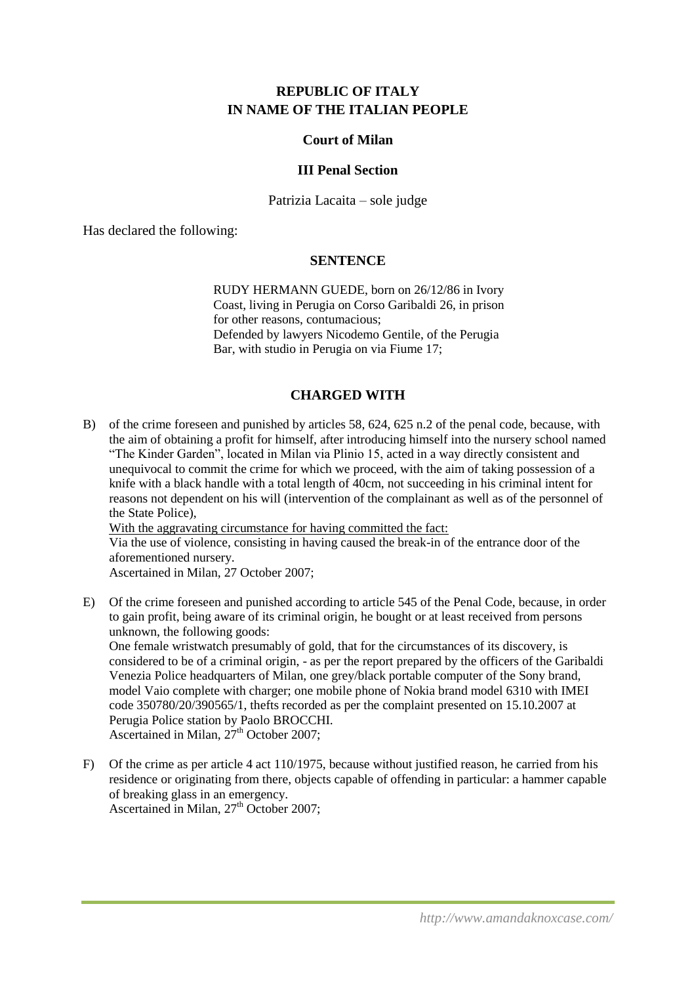# **REPUBLIC OF ITALY IN NAME OF THE ITALIAN PEOPLE**

## **Court of Milan**

### **III Penal Section**

Patrizia Lacaita – sole judge

Has declared the following:

#### **SENTENCE**

RUDY HERMANN GUEDE, born on 26/12/86 in Ivory Coast, living in Perugia on Corso Garibaldi 26, in prison for other reasons, contumacious; Defended by lawyers Nicodemo Gentile, of the Perugia Bar, with studio in Perugia on via Fiume 17;

## **CHARGED WITH**

B) of the crime foreseen and punished by articles 58, 624, 625 n.2 of the penal code, because, with the aim of obtaining a profit for himself, after introducing himself into the nursery school named "The Kinder Garden", located in Milan via Plinio 15, acted in a way directly consistent and unequivocal to commit the crime for which we proceed, with the aim of taking possession of a knife with a black handle with a total length of 40cm, not succeeding in his criminal intent for reasons not dependent on his will (intervention of the complainant as well as of the personnel of the State Police),

With the aggravating circumstance for having committed the fact: Via the use of violence, consisting in having caused the break-in of the entrance door of the aforementioned nursery. Ascertained in Milan, 27 October 2007;

E) Of the crime foreseen and punished according to article 545 of the Penal Code, because, in order to gain profit, being aware of its criminal origin, he bought or at least received from persons unknown, the following goods:

One female wristwatch presumably of gold, that for the circumstances of its discovery, is considered to be of a criminal origin, - as per the report prepared by the officers of the Garibaldi Venezia Police headquarters of Milan, one grey/black portable computer of the Sony brand, model Vaio complete with charger; one mobile phone of Nokia brand model 6310 with IMEI code 350780/20/390565/1, thefts recorded as per the complaint presented on 15.10.2007 at Perugia Police station by Paolo BROCCHI. Ascertained in Milan,  $27<sup>th</sup>$  October 2007;

F) Of the crime as per article 4 act 110/1975, because without justified reason, he carried from his residence or originating from there, objects capable of offending in particular: a hammer capable of breaking glass in an emergency. Ascertained in Milan, 27<sup>th</sup> October 2007;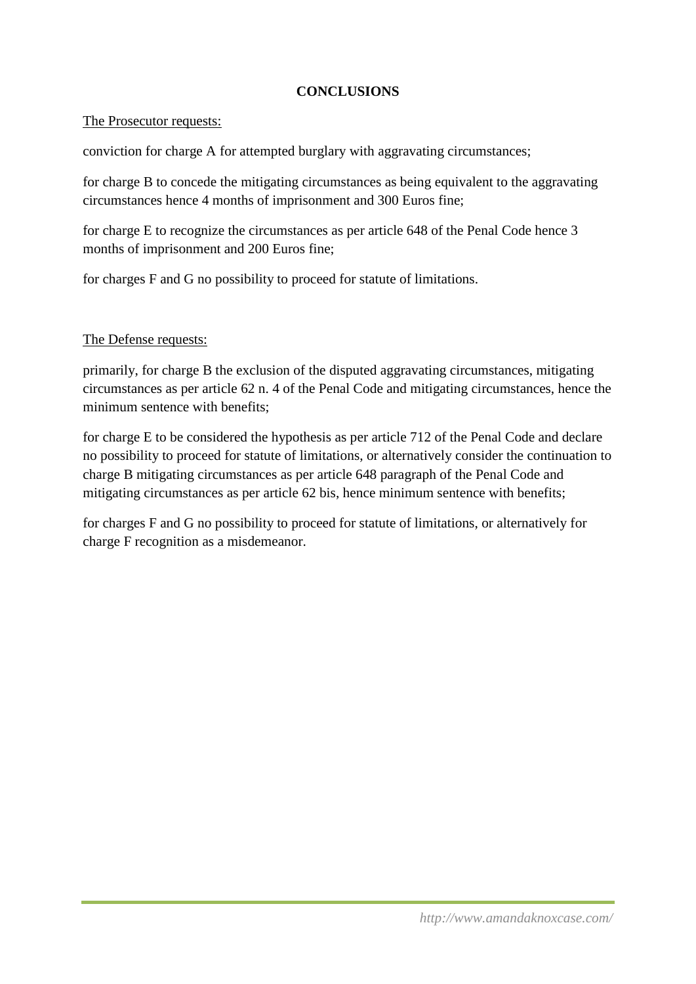# **CONCLUSIONS**

### The Prosecutor requests:

conviction for charge A for attempted burglary with aggravating circumstances;

for charge B to concede the mitigating circumstances as being equivalent to the aggravating circumstances hence 4 months of imprisonment and 300 Euros fine;

for charge E to recognize the circumstances as per article 648 of the Penal Code hence 3 months of imprisonment and 200 Euros fine;

for charges F and G no possibility to proceed for statute of limitations.

## The Defense requests:

primarily, for charge B the exclusion of the disputed aggravating circumstances, mitigating circumstances as per article 62 n. 4 of the Penal Code and mitigating circumstances, hence the minimum sentence with benefits;

for charge E to be considered the hypothesis as per article 712 of the Penal Code and declare no possibility to proceed for statute of limitations, or alternatively consider the continuation to charge B mitigating circumstances as per article 648 paragraph of the Penal Code and mitigating circumstances as per article 62 bis, hence minimum sentence with benefits;

for charges F and G no possibility to proceed for statute of limitations, or alternatively for charge F recognition as a misdemeanor.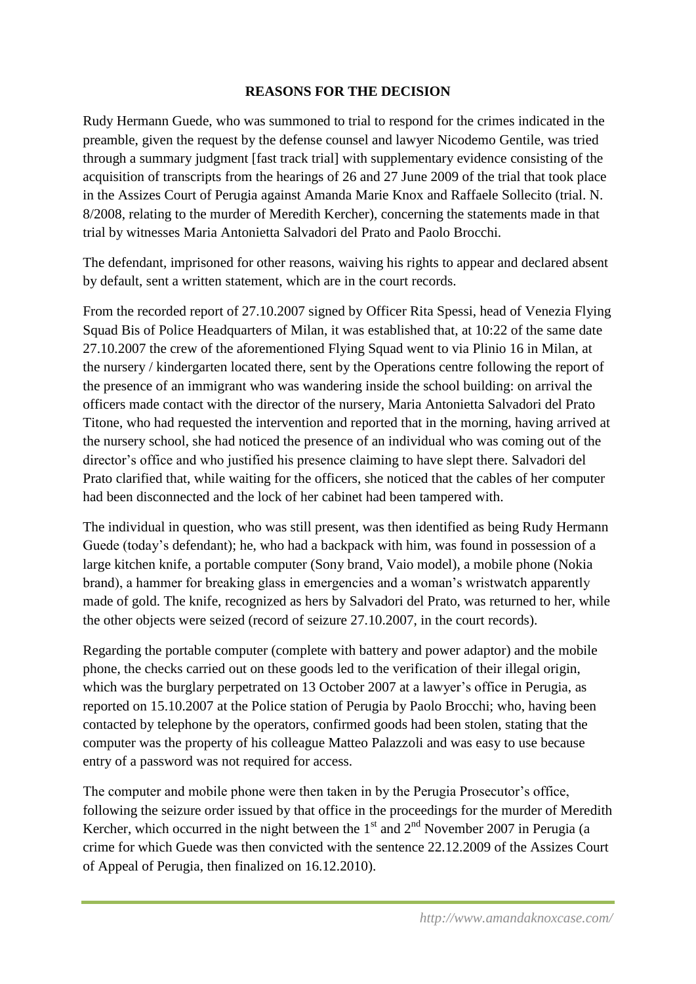## **REASONS FOR THE DECISION**

Rudy Hermann Guede, who was summoned to trial to respond for the crimes indicated in the preamble, given the request by the defense counsel and lawyer Nicodemo Gentile, was tried through a summary judgment [fast track trial] with supplementary evidence consisting of the acquisition of transcripts from the hearings of 26 and 27 June 2009 of the trial that took place in the Assizes Court of Perugia against Amanda Marie Knox and Raffaele Sollecito (trial. N. 8/2008, relating to the murder of Meredith Kercher), concerning the statements made in that trial by witnesses Maria Antonietta Salvadori del Prato and Paolo Brocchi.

The defendant, imprisoned for other reasons, waiving his rights to appear and declared absent by default, sent a written statement, which are in the court records.

From the recorded report of 27.10.2007 signed by Officer Rita Spessi, head of Venezia Flying Squad Bis of Police Headquarters of Milan, it was established that, at 10:22 of the same date 27.10.2007 the crew of the aforementioned Flying Squad went to via Plinio 16 in Milan, at the nursery / kindergarten located there, sent by the Operations centre following the report of the presence of an immigrant who was wandering inside the school building: on arrival the officers made contact with the director of the nursery, Maria Antonietta Salvadori del Prato Titone, who had requested the intervention and reported that in the morning, having arrived at the nursery school, she had noticed the presence of an individual who was coming out of the director's office and who justified his presence claiming to have slept there. Salvadori del Prato clarified that, while waiting for the officers, she noticed that the cables of her computer had been disconnected and the lock of her cabinet had been tampered with.

The individual in question, who was still present, was then identified as being Rudy Hermann Guede (today's defendant); he, who had a backpack with him, was found in possession of a large kitchen knife, a portable computer (Sony brand, Vaio model), a mobile phone (Nokia brand), a hammer for breaking glass in emergencies and a woman's wristwatch apparently made of gold. The knife, recognized as hers by Salvadori del Prato, was returned to her, while the other objects were seized (record of seizure 27.10.2007, in the court records).

Regarding the portable computer (complete with battery and power adaptor) and the mobile phone, the checks carried out on these goods led to the verification of their illegal origin, which was the burglary perpetrated on 13 October 2007 at a lawyer's office in Perugia, as reported on 15.10.2007 at the Police station of Perugia by Paolo Brocchi; who, having been contacted by telephone by the operators, confirmed goods had been stolen, stating that the computer was the property of his colleague Matteo Palazzoli and was easy to use because entry of a password was not required for access.

The computer and mobile phone were then taken in by the Perugia Prosecutor's office, following the seizure order issued by that office in the proceedings for the murder of Meredith Kercher, which occurred in the night between the  $1<sup>st</sup>$  and  $2<sup>nd</sup>$  November 2007 in Perugia (a crime for which Guede was then convicted with the sentence 22.12.2009 of the Assizes Court of Appeal of Perugia, then finalized on 16.12.2010).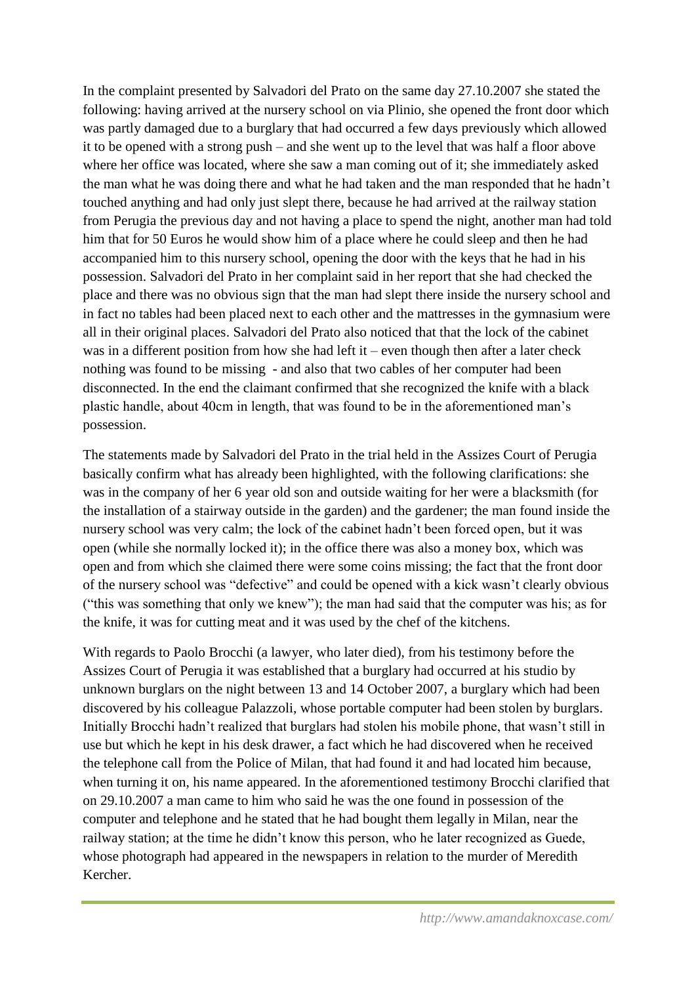In the complaint presented by Salvadori del Prato on the same day 27.10.2007 she stated the following: having arrived at the nursery school on via Plinio, she opened the front door which was partly damaged due to a burglary that had occurred a few days previously which allowed it to be opened with a strong push – and she went up to the level that was half a floor above where her office was located, where she saw a man coming out of it; she immediately asked the man what he was doing there and what he had taken and the man responded that he hadn't touched anything and had only just slept there, because he had arrived at the railway station from Perugia the previous day and not having a place to spend the night, another man had told him that for 50 Euros he would show him of a place where he could sleep and then he had accompanied him to this nursery school, opening the door with the keys that he had in his possession. Salvadori del Prato in her complaint said in her report that she had checked the place and there was no obvious sign that the man had slept there inside the nursery school and in fact no tables had been placed next to each other and the mattresses in the gymnasium were all in their original places. Salvadori del Prato also noticed that that the lock of the cabinet was in a different position from how she had left it – even though then after a later check nothing was found to be missing - and also that two cables of her computer had been disconnected. In the end the claimant confirmed that she recognized the knife with a black plastic handle, about 40cm in length, that was found to be in the aforementioned man's possession.

The statements made by Salvadori del Prato in the trial held in the Assizes Court of Perugia basically confirm what has already been highlighted, with the following clarifications: she was in the company of her 6 year old son and outside waiting for her were a blacksmith (for the installation of a stairway outside in the garden) and the gardener; the man found inside the nursery school was very calm; the lock of the cabinet hadn't been forced open, but it was open (while she normally locked it); in the office there was also a money box, which was open and from which she claimed there were some coins missing; the fact that the front door of the nursery school was "defective" and could be opened with a kick wasn't clearly obvious ("this was something that only we knew"); the man had said that the computer was his; as for the knife, it was for cutting meat and it was used by the chef of the kitchens.

With regards to Paolo Brocchi (a lawyer, who later died), from his testimony before the Assizes Court of Perugia it was established that a burglary had occurred at his studio by unknown burglars on the night between 13 and 14 October 2007, a burglary which had been discovered by his colleague Palazzoli, whose portable computer had been stolen by burglars. Initially Brocchi hadn't realized that burglars had stolen his mobile phone, that wasn't still in use but which he kept in his desk drawer, a fact which he had discovered when he received the telephone call from the Police of Milan, that had found it and had located him because, when turning it on, his name appeared. In the aforementioned testimony Brocchi clarified that on 29.10.2007 a man came to him who said he was the one found in possession of the computer and telephone and he stated that he had bought them legally in Milan, near the railway station; at the time he didn't know this person, who he later recognized as Guede, whose photograph had appeared in the newspapers in relation to the murder of Meredith Kercher.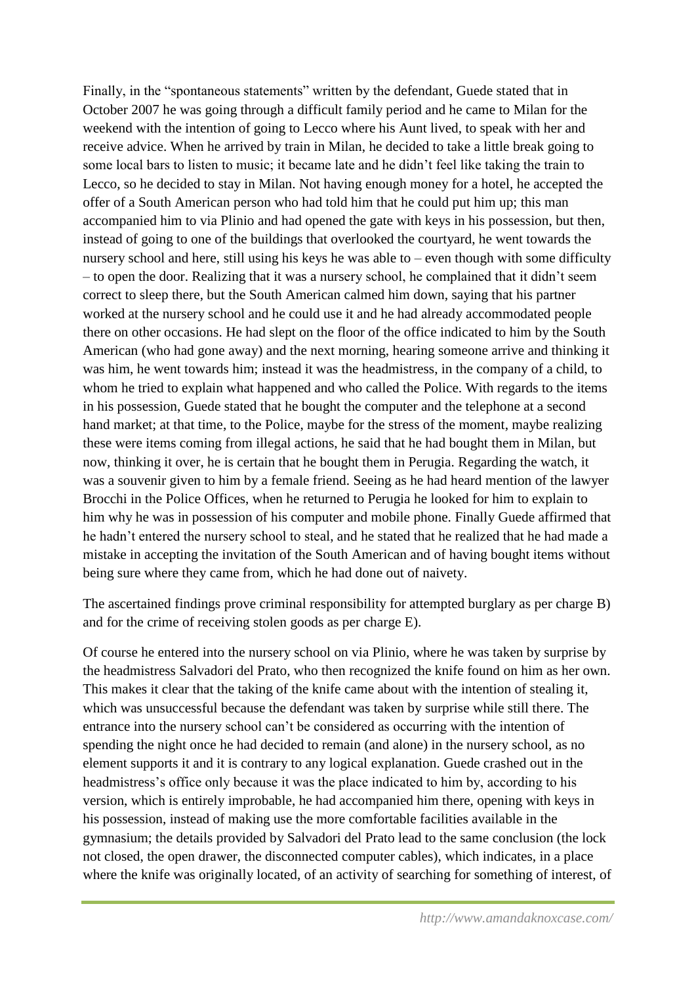Finally, in the "spontaneous statements" written by the defendant, Guede stated that in October 2007 he was going through a difficult family period and he came to Milan for the weekend with the intention of going to Lecco where his Aunt lived, to speak with her and receive advice. When he arrived by train in Milan, he decided to take a little break going to some local bars to listen to music; it became late and he didn't feel like taking the train to Lecco, so he decided to stay in Milan. Not having enough money for a hotel, he accepted the offer of a South American person who had told him that he could put him up; this man accompanied him to via Plinio and had opened the gate with keys in his possession, but then, instead of going to one of the buildings that overlooked the courtyard, he went towards the nursery school and here, still using his keys he was able to – even though with some difficulty – to open the door. Realizing that it was a nursery school, he complained that it didn't seem correct to sleep there, but the South American calmed him down, saying that his partner worked at the nursery school and he could use it and he had already accommodated people there on other occasions. He had slept on the floor of the office indicated to him by the South American (who had gone away) and the next morning, hearing someone arrive and thinking it was him, he went towards him; instead it was the headmistress, in the company of a child, to whom he tried to explain what happened and who called the Police. With regards to the items in his possession, Guede stated that he bought the computer and the telephone at a second hand market; at that time, to the Police, maybe for the stress of the moment, maybe realizing these were items coming from illegal actions, he said that he had bought them in Milan, but now, thinking it over, he is certain that he bought them in Perugia. Regarding the watch, it was a souvenir given to him by a female friend. Seeing as he had heard mention of the lawyer Brocchi in the Police Offices, when he returned to Perugia he looked for him to explain to him why he was in possession of his computer and mobile phone. Finally Guede affirmed that he hadn't entered the nursery school to steal, and he stated that he realized that he had made a mistake in accepting the invitation of the South American and of having bought items without being sure where they came from, which he had done out of naivety.

The ascertained findings prove criminal responsibility for attempted burglary as per charge B) and for the crime of receiving stolen goods as per charge E).

Of course he entered into the nursery school on via Plinio, where he was taken by surprise by the headmistress Salvadori del Prato, who then recognized the knife found on him as her own. This makes it clear that the taking of the knife came about with the intention of stealing it, which was unsuccessful because the defendant was taken by surprise while still there. The entrance into the nursery school can't be considered as occurring with the intention of spending the night once he had decided to remain (and alone) in the nursery school, as no element supports it and it is contrary to any logical explanation. Guede crashed out in the headmistress's office only because it was the place indicated to him by, according to his version, which is entirely improbable, he had accompanied him there, opening with keys in his possession, instead of making use the more comfortable facilities available in the gymnasium; the details provided by Salvadori del Prato lead to the same conclusion (the lock not closed, the open drawer, the disconnected computer cables), which indicates, in a place where the knife was originally located, of an activity of searching for something of interest, of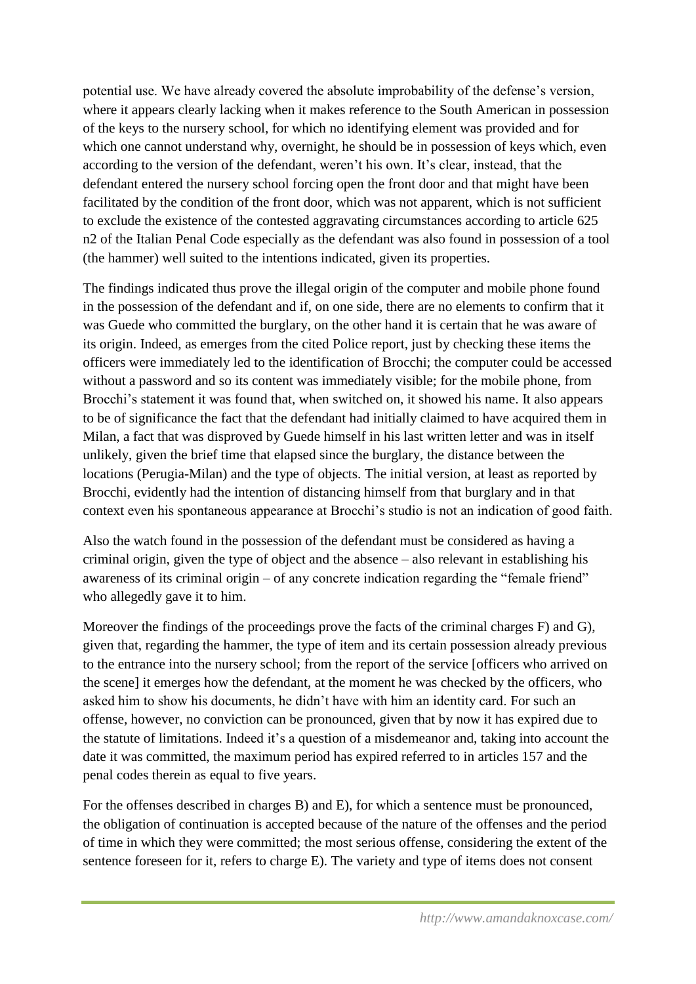potential use. We have already covered the absolute improbability of the defense's version, where it appears clearly lacking when it makes reference to the South American in possession of the keys to the nursery school, for which no identifying element was provided and for which one cannot understand why, overnight, he should be in possession of keys which, even according to the version of the defendant, weren't his own. It's clear, instead, that the defendant entered the nursery school forcing open the front door and that might have been facilitated by the condition of the front door, which was not apparent, which is not sufficient to exclude the existence of the contested aggravating circumstances according to article 625 n2 of the Italian Penal Code especially as the defendant was also found in possession of a tool (the hammer) well suited to the intentions indicated, given its properties.

The findings indicated thus prove the illegal origin of the computer and mobile phone found in the possession of the defendant and if, on one side, there are no elements to confirm that it was Guede who committed the burglary, on the other hand it is certain that he was aware of its origin. Indeed, as emerges from the cited Police report, just by checking these items the officers were immediately led to the identification of Brocchi; the computer could be accessed without a password and so its content was immediately visible; for the mobile phone, from Brocchi's statement it was found that, when switched on, it showed his name. It also appears to be of significance the fact that the defendant had initially claimed to have acquired them in Milan, a fact that was disproved by Guede himself in his last written letter and was in itself unlikely, given the brief time that elapsed since the burglary, the distance between the locations (Perugia-Milan) and the type of objects. The initial version, at least as reported by Brocchi, evidently had the intention of distancing himself from that burglary and in that context even his spontaneous appearance at Brocchi's studio is not an indication of good faith.

Also the watch found in the possession of the defendant must be considered as having a criminal origin, given the type of object and the absence – also relevant in establishing his awareness of its criminal origin – of any concrete indication regarding the "female friend" who allegedly gave it to him.

Moreover the findings of the proceedings prove the facts of the criminal charges F) and G), given that, regarding the hammer, the type of item and its certain possession already previous to the entrance into the nursery school; from the report of the service [officers who arrived on the scene] it emerges how the defendant, at the moment he was checked by the officers, who asked him to show his documents, he didn't have with him an identity card. For such an offense, however, no conviction can be pronounced, given that by now it has expired due to the statute of limitations. Indeed it's a question of a misdemeanor and, taking into account the date it was committed, the maximum period has expired referred to in articles 157 and the penal codes therein as equal to five years.

For the offenses described in charges B) and E), for which a sentence must be pronounced, the obligation of continuation is accepted because of the nature of the offenses and the period of time in which they were committed; the most serious offense, considering the extent of the sentence foreseen for it, refers to charge E). The variety and type of items does not consent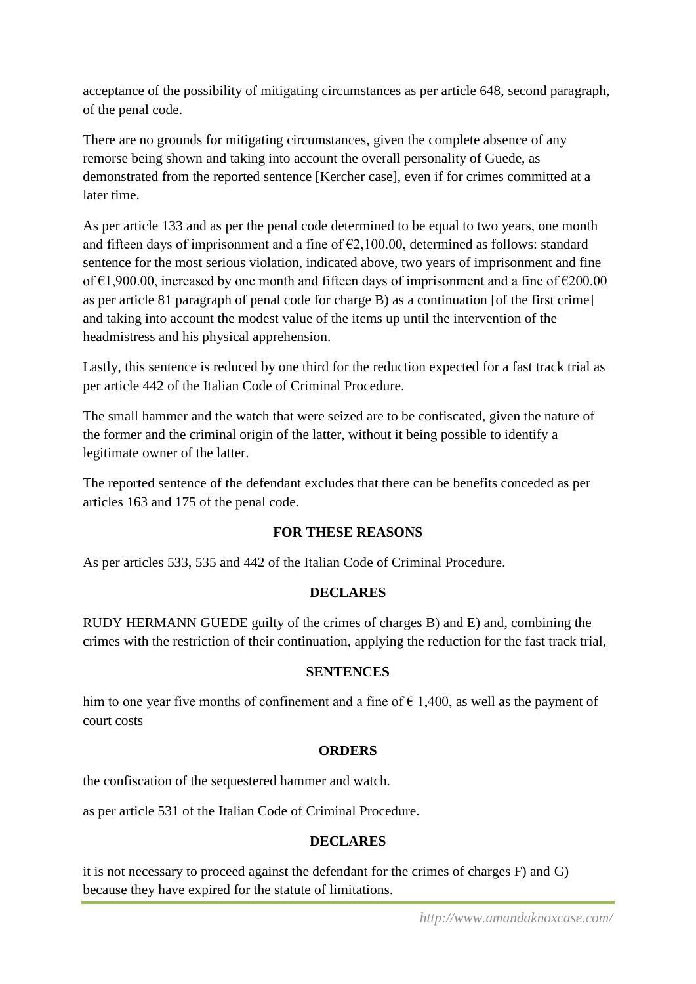acceptance of the possibility of mitigating circumstances as per article 648, second paragraph, of the penal code.

There are no grounds for mitigating circumstances, given the complete absence of any remorse being shown and taking into account the overall personality of Guede, as demonstrated from the reported sentence [Kercher case], even if for crimes committed at a later time.

As per article 133 and as per the penal code determined to be equal to two years, one month and fifteen days of imprisonment and a fine of  $\epsilon$ 2,100.00, determined as follows: standard sentence for the most serious violation, indicated above, two years of imprisonment and fine of  $\epsilon$ 1,900.00, increased by one month and fifteen days of imprisonment and a fine of  $\epsilon$ 200.00 as per article 81 paragraph of penal code for charge B) as a continuation [of the first crime] and taking into account the modest value of the items up until the intervention of the headmistress and his physical apprehension.

Lastly, this sentence is reduced by one third for the reduction expected for a fast track trial as per article 442 of the Italian Code of Criminal Procedure.

The small hammer and the watch that were seized are to be confiscated, given the nature of the former and the criminal origin of the latter, without it being possible to identify a legitimate owner of the latter.

The reported sentence of the defendant excludes that there can be benefits conceded as per articles 163 and 175 of the penal code.

# **FOR THESE REASONS**

As per articles 533, 535 and 442 of the Italian Code of Criminal Procedure.

# **DECLARES**

RUDY HERMANN GUEDE guilty of the crimes of charges B) and E) and, combining the crimes with the restriction of their continuation, applying the reduction for the fast track trial,

# **SENTENCES**

him to one year five months of confinement and a fine of  $\epsilon$  1,400, as well as the payment of court costs

# **ORDERS**

the confiscation of the sequestered hammer and watch.

as per article 531 of the Italian Code of Criminal Procedure.

# **DECLARES**

it is not necessary to proceed against the defendant for the crimes of charges F) and G) because they have expired for the statute of limitations.